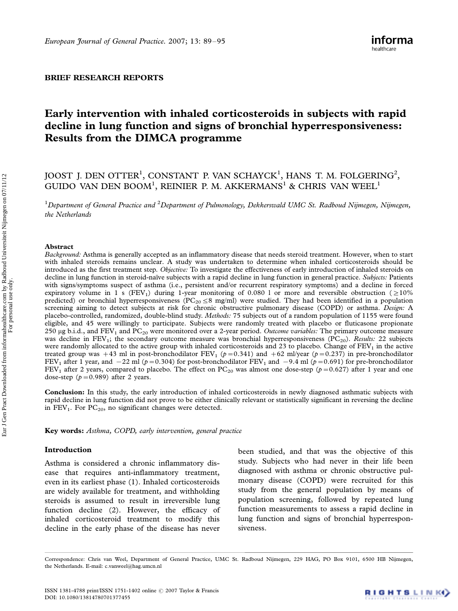### BRIEF RESEARCH REPORTS

# Early intervention with inhaled corticosteroids in subjects with rapid decline in lung function and signs of bronchial hyperresponsiveness: Results from the DIMCA programme

## JOOST J. DEN OTTER<sup>1</sup>, CONSTANT P. VAN SCHAYCK<sup>1</sup>, HANS T. M. FOLGERING<sup>2</sup>, GUIDO VAN DEN BOOM<sup>1</sup>, REINIER P. M. AKKERMANS<sup>1</sup> & CHRIS VAN WEEL<sup>1</sup>

 $^1$ Department of General Practice and  $^2$ Department of Pulmonology, Dekkerswald UMC St. Radboud Nijmegen, Nijmegen, the Netherlands

#### Abstract

Background: Asthma is generally accepted as an inflammatory disease that needs steroid treatment. However, when to start with inhaled steroids remains unclear. A study was undertaken to determine when inhaled corticosteroids should be introduced as the first treatment step. Objective: To investigate the effectiveness of early introduction of inhaled steroids on decline in lung function in steroid-naı̈ve subjects with a rapid decline in lung function in general practice. Subjects: Patients with signs/symptoms suspect of asthma (i.e., persistent and/or recurrent respiratory symptoms) and a decline in forced expiratory volume in 1 s (FEV<sub>1</sub>) during 1-year monitoring of 0.080 l or more and reversible obstruction ( $\geq$ 10%) predicted) or bronchial hyperresponsiveness ( $PC_{20} \le 8$  mg/ml) were studied. They had been identified in a population screening aiming to detect subjects at risk for chronic obstructive pulmonary disease (COPD) or asthma. Design: A placebo-controlled, randomized, double-blind study. Methods: 75 subjects out of a random population of 1155 were found eligible, and 45 were willingly to participate. Subjects were randomly treated with placebo or fluticasone propionate 250 µg b.i.d., and  $FEV_1$  and  $PC_{20}$  were monitored over a 2-year period. Outcome variables: The primary outcome measure was decline in  $FEV_1$ ; the secondary outcome measure was bronchial hyperresponsiveness ( $PC_{20}$ ). Results: 22 subjects were randomly allocated to the active group with inhaled corticosteroids and 23 to placebo. Change of FEV<sub>1</sub> in the active treated group was  $+43$  ml in post-bronchodilator  $\text{FEV}_1$   $(p=0.341)$  and  $+62$  ml/year  $(p=0.237)$  in pre-bronchodilator FEV<sub>1</sub> after 1 year, and  $-22$  ml ( $p=0.304$ ) for post-bronchodilator FEV<sub>1</sub> and  $-9.4$  ml ( $p=0.691$ ) for pre-bronchodilator FEV<sub>1</sub> after 2 years, compared to placebo. The effect on PC<sub>20</sub> was almost one dose-step ( $p=0.627$ ) after 1 year and one dose-step  $(p=0.989)$  after 2 years.

Conclusion: In this study, the early introduction of inhaled corticosteroids in newly diagnosed asthmatic subjects with rapid decline in lung function did not prove to be either clinically relevant or statistically significant in reversing the decline in  $FEV<sub>1</sub>$ . For  $PC<sub>20</sub>$ , no significant changes were detected.

Key words: Asthma, COPD, early intervention, general practice

## Introduction

Asthma is considered a chronic inflammatory disease that requires anti-inflammatory treatment, even in its earliest phase (1). Inhaled corticosteroids are widely available for treatment, and withholding steroids is assumed to result in irreversible lung function decline (2). However, the efficacy of inhaled corticosteroid treatment to modify this decline in the early phase of the disease has never

been studied, and that was the objective of this study. Subjects who had never in their life been diagnosed with asthma or chronic obstructive pulmonary disease (COPD) were recruited for this study from the general population by means of population screening, followed by repeated lung function measurements to assess a rapid decline in lung function and signs of bronchial hyperresponsiveness.

Correspondence: Chris van Weel, Department of General Practice, UMC St. Radboud Nijmegen, 229 HAG, PO Box 9101, 6500 HB Nijmegen, the Netherlands. E-mail: c.vanweel@hag.umcn.nl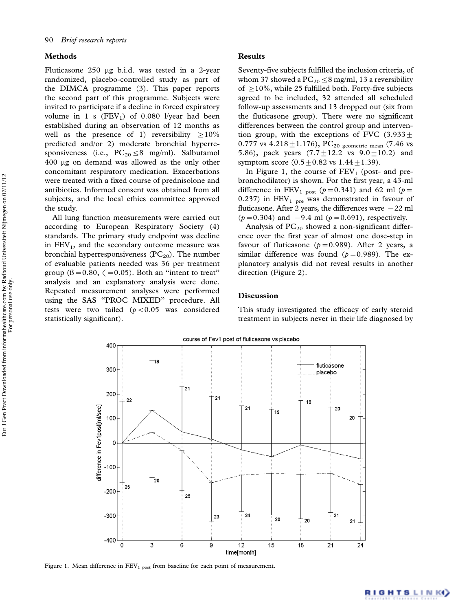### Methods

Fluticasone 250 mg b.i.d. was tested in a 2-year randomized, placebo-controlled study as part of the DIMCA programme (3). This paper reports the second part of this programme. Subjects were invited to participate if a decline in forced expiratory volume in 1 s  $(FEV<sub>1</sub>)$  of 0.080 l/year had been established during an observation of 12 months as well as the presence of 1) reversibility  $\geq 10\%$ predicted and/or 2) moderate bronchial hyperresponsiveness (i.e.,  $PC_{20} \leq 8$  mg/ml). Salbutamol 400 mg on demand was allowed as the only other concomitant respiratory medication. Exacerbations were treated with a fixed course of prednisolone and antibiotics. Informed consent was obtained from all subjects, and the local ethics committee approved the study.

All lung function measurements were carried out according to European Respiratory Society (4) standards. The primary study endpoint was decline in  $FEV<sub>1</sub>$ , and the secondary outcome measure was bronchial hyperresponsiveness  $(PC_{20})$ . The number of evaluable patients needed was 36 per treatment group ( $\beta$  = 0.80,  $\langle$  = 0.05). Both an "intent to treat" analysis and an explanatory analysis were done. Repeated measurement analyses were performed using the SAS ''PROC MIXED'' procedure. All tests were two tailed  $(p<0.05$  was considered statistically significant).

#### Results

Seventy-five subjects fulfilled the inclusion criteria, of whom 37 showed a  $PC_{20} \leq 8$  mg/ml, 13 a reversibility of  $\geq$  10%, while 25 fulfilled both. Forty-five subjects agreed to be included, 32 attended all scheduled follow-up assessments and 13 dropped out (six from the fluticasone group). There were no significant differences between the control group and intervention group, with the exceptions of FVC  $(3.933 +$ 0.777 vs  $4.218 \pm 1.176$ ), PC<sub>20</sub> geometric mean (7.46 vs 5.86), pack years  $(7.7 \pm 12.2 \text{ vs } 9.0 \pm 10.2)$  and symptom score  $(0.5 \pm 0.82 \text{ vs } 1.44 \pm 1.39)$ .

In Figure 1, the course of  $FEV<sub>1</sub>$  (post- and prebronchodilator) is shown. For the first year, a 43-ml difference in FEV<sub>1</sub> <sub>post</sub> ( $p = 0.341$ ) and 62 ml ( $p =$ 0.237) in  $FEV<sub>1 pre</sub>$  was demonstrated in favour of fluticasone. After 2 years, the differences were  $-22$  ml  $(p = 0.304)$  and  $-9.4$  ml  $(p = 0.691)$ , respectively.

Analysis of  $PC_{20}$  showed a non-significant difference over the first year of almost one dose-step in favour of fluticasone ( $p = 0.989$ ). After 2 years, a similar difference was found  $(p=0.989)$ . The explanatory analysis did not reveal results in another direction (Figure 2).

## Discussion

This study investigated the efficacy of early steroid treatment in subjects never in their life diagnosed by



Figure 1. Mean difference in  $FEV<sub>1 post</sub>$  from baseline for each point of measurement.